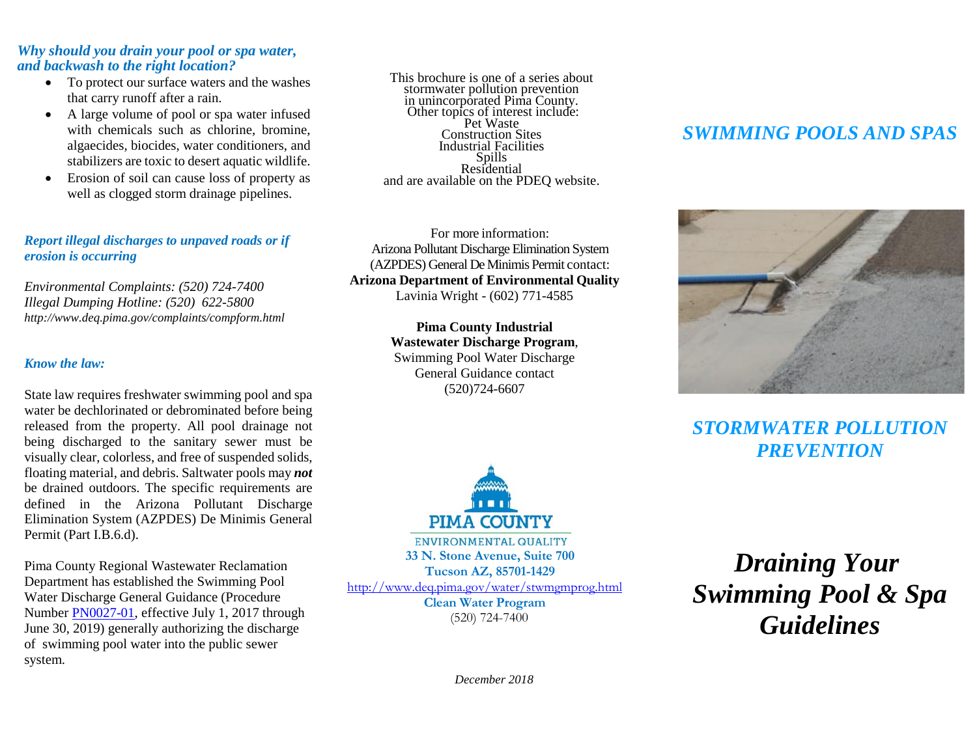#### *Why should you drain your pool or spa water, and backwash to the right location?*

- To protect our surface waters and the washes that carry runoff after a rain.
- A large volume of pool or spa water infused with chemicals such as chlorine, bromine, algaecides, biocides, water conditioners, and stabilizers are toxic to desert aquatic wildlife.
- Erosion of soil can cause loss of property as well as clogged storm drainage pipelines.

### *Report illegal discharges to unpaved roads or if erosion is occurring*

*Environmental Complaints: (520) 724-7400 Illegal Dumping Hotline: (520) 622-5800 http://www.deq.pima.gov/complaints/compform.html*

#### *Know the law:*

State law requires freshwater swimming pool and spa water be dechlorinated or debrominated before being released from the property. All pool drainage not being discharged to the sanitary sewer must be visually clear, colorless, and free of suspended solids, floating material, and debris. Saltwater pools may *not* be drained outdoors. The specific requirements are defined in the Arizona Pollutant Discharge Elimination System (AZPDES) De Minimis General Permit (Part I.B.6.d).

Pima County Regional Wastewater Reclamation Department has established the Swimming Pool Water Discharge General Guidance (Procedure Number [PN0027-01,](https://webcms.pima.gov/UserFiles/Servers/Server_6/File/Government/Wastewater%20Reclamation/IWC/PN0027-01_PoolDischarge.pdf) effective July 1, 2017 through June 30, 2019) generally authorizing the discharge of swimming pool water into the public sewer system.

This brochure is one of a series about stormwater pollution prevention in unincorporated Pima County.<br>Other topics of interest include: Pet Waste Construction Sites Industrial Facilities Residential and are available on the PDEQ website.

For more information: Arizona Pollutant Discharge Elimination System (AZPDES) General De Minimis Permit contact: **Arizona Department of Environmental Quality** Lavinia Wright - (602) 771-4585

> **Pima County Industrial Wastewater Discharge Program**, Swimming Pool Water Discharge General Guidance contact (520)724-6607



ENVIRONMENTAL QUALITY **33 N. Stone Avenue, Suite 700 Tucson AZ, 85701-1429** <http://www.deq.pima.gov/water/stwmgmprog.html>

**Clean Water Program** (520) 724-7400

## *SWIMMING POOLS AND SPAS*



*STORMWATER POLLUTION PREVENTION*

*Draining Your Swimming Pool & Spa Guidelines*

*December 2018*